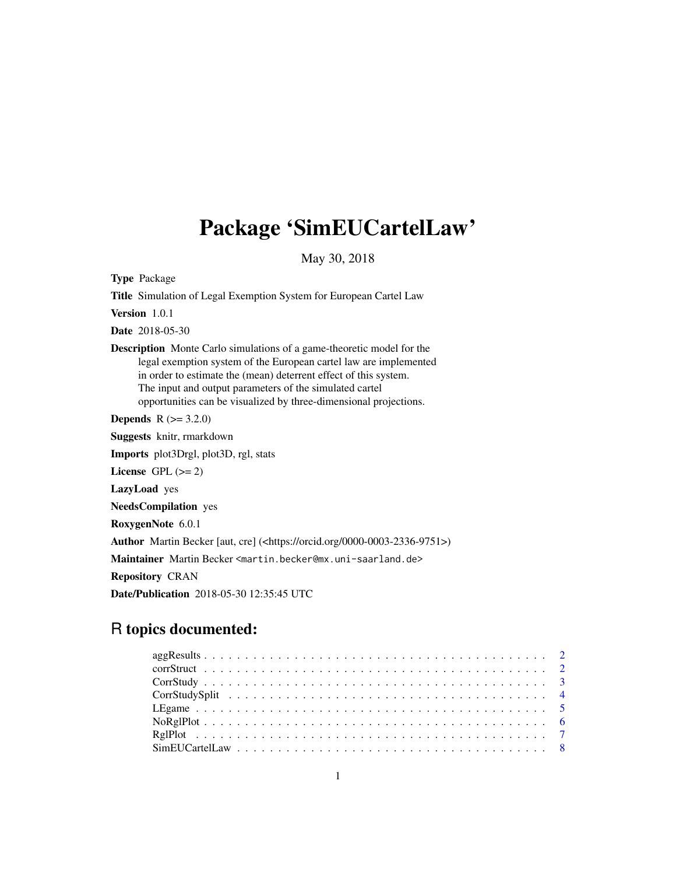# Package 'SimEUCartelLaw'

May 30, 2018

Type Package

Title Simulation of Legal Exemption System for European Cartel Law Version 1.0.1 Date 2018-05-30 Description Monte Carlo simulations of a game-theoretic model for the legal exemption system of the European cartel law are implemented in order to estimate the (mean) deterrent effect of this system. The input and output parameters of the simulated cartel opportunities can be visualized by three-dimensional projections. **Depends** R  $(>= 3.2.0)$ Suggests knitr, rmarkdown Imports plot3Drgl, plot3D, rgl, stats License GPL  $(>= 2)$ LazyLoad yes

NeedsCompilation yes RoxygenNote 6.0.1 Author Martin Becker [aut, cre] (<https://orcid.org/0000-0003-2336-9751>) Maintainer Martin Becker <martin.becker@mx.uni-saarland.de> Repository CRAN Date/Publication 2018-05-30 12:35:45 UTC

# R topics documented: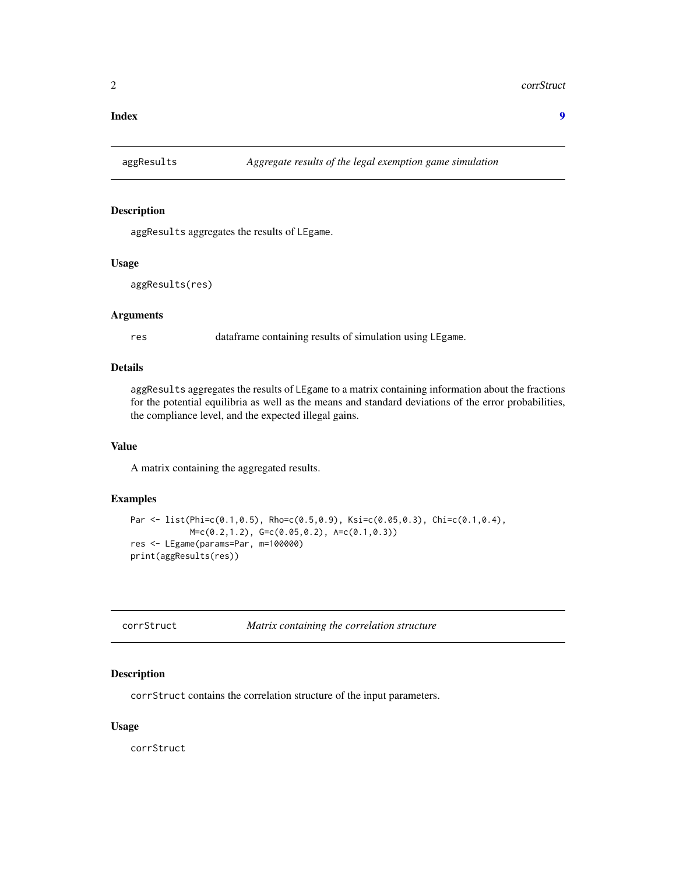<span id="page-1-0"></span>**Index** [9](#page-8-0)

# Description

aggResults aggregates the results of LEgame.

#### Usage

aggResults(res)

# Arguments

res dataframe containing results of simulation using LEgame.

#### Details

aggResults aggregates the results of LEgame to a matrix containing information about the fractions for the potential equilibria as well as the means and standard deviations of the error probabilities, the compliance level, and the expected illegal gains.

#### Value

A matrix containing the aggregated results.

# Examples

```
Par <- list(Phi=c(0.1,0.5), Rho=c(0.5,0.9), Ksi=c(0.05,0.3), Chi=c(0.1,0.4),
            M=c(0.2,1.2), G=c(0.05,0.2), A=c(0.1,0.3))
res <- LEgame(params=Par, m=100000)
print(aggResults(res))
```

| corrStruct | Matrix containing the correlation structure |
|------------|---------------------------------------------|
|------------|---------------------------------------------|

# Description

corrStruct contains the correlation structure of the input parameters.

#### Usage

corrStruct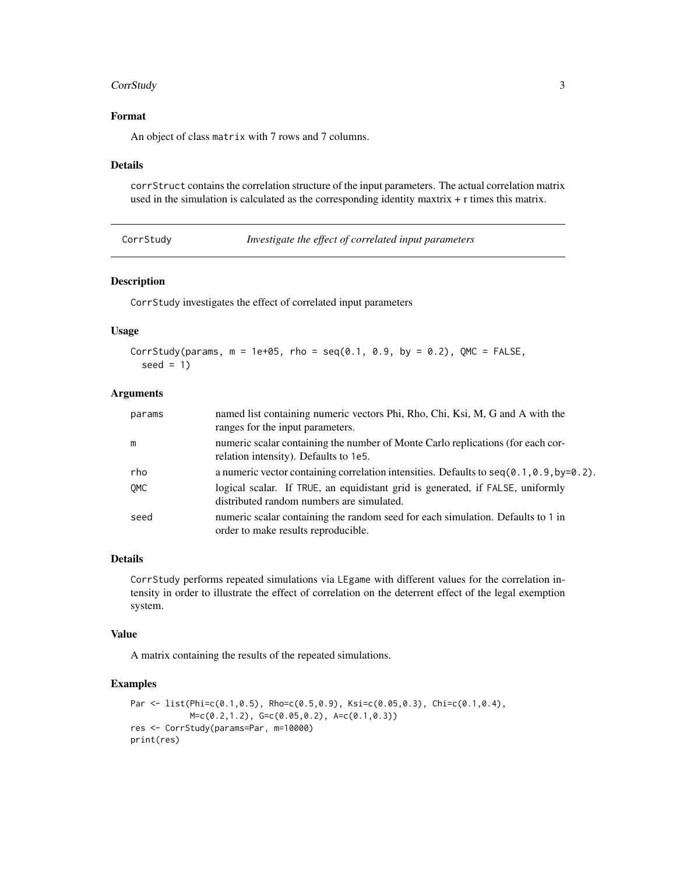#### <span id="page-2-0"></span>**CorrStudy** 3

# Format

An object of class matrix with 7 rows and 7 columns.

# Details

corrStruct contains the correlation structure of the input parameters. The actual correlation matrix used in the simulation is calculated as the corresponding identity maxtrix + r times this matrix.

| CorrStudy |  |  |
|-----------|--|--|
|           |  |  |

Investigate the effect of correlated input parameters

#### Description

CorrStudy investigates the effect of correlated input parameters

#### Usage

```
CorrStudy(params, m = 1e+05, rho = seq(0.1, 0.9, by = 0.2), QMC = FALSE,
  seed = 1
```
#### Arguments

| params     | named list containing numeric vectors Phi, Rho, Chi, Ksi, M, G and A with the<br>ranges for the input parameters.           |
|------------|-----------------------------------------------------------------------------------------------------------------------------|
| m          | numeric scalar containing the number of Monte Carlo replications (for each cor-<br>relation intensity). Defaults to 1e5.    |
| rho        | a numeric vector containing correlation intensities. Defaults to $seq(0.1, 0.9, by=0.2)$ .                                  |
| <b>OMC</b> | logical scalar. If TRUE, an equidistant grid is generated, if FALSE, uniformly<br>distributed random numbers are simulated. |
| seed       | numeric scalar containing the random seed for each simulation. Defaults to 1 in<br>order to make results reproducible.      |

# Details

CorrStudy performs repeated simulations via LEgame with different values for the correlation intensity in order to illustrate the effect of correlation on the deterrent effect of the legal exemption system.

#### Value

A matrix containing the results of the repeated simulations.

```
Par <- list(Phi=c(0.1,0.5), Rho=c(0.5,0.9), Ksi=c(0.05,0.3), Chi=c(0.1,0.4),
           M=c(0.2,1.2), G=c(0.05,0.2), A=c(0.1,0.3))
res <- CorrStudy(params=Par, m=10000)
print(res)
```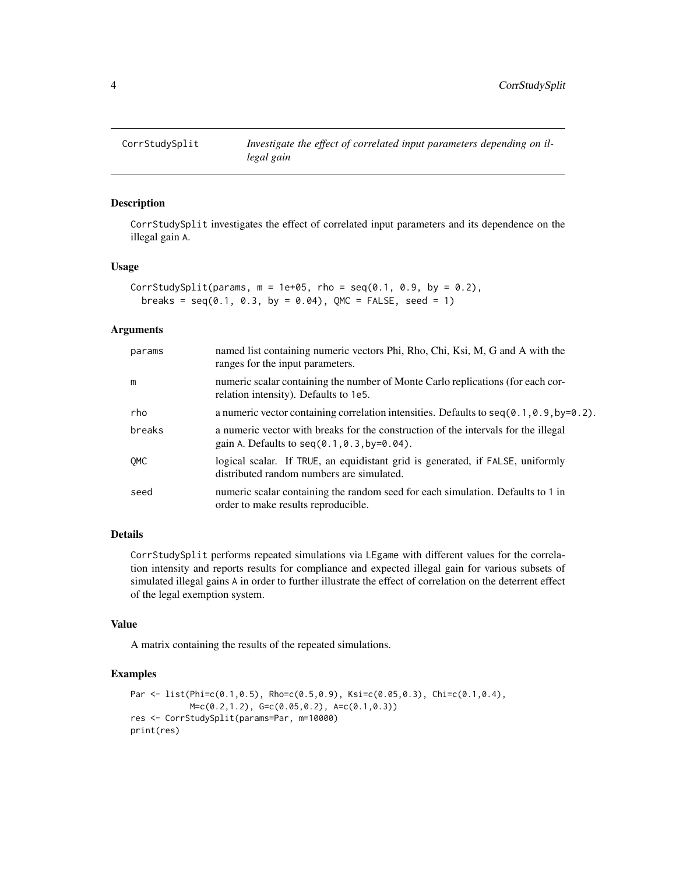<span id="page-3-0"></span>

#### Description

CorrStudySplit investigates the effect of correlated input parameters and its dependence on the illegal gain A.

#### Usage

```
CorrStudySplit(params, m = 1e+05, rho = seq(0.1, 0.9, by = 0.2),
  breaks = seq(0.1, 0.3, by = 0.04), QMC = FALSE, seed = 1)
```
#### Arguments

| params | named list containing numeric vectors Phi, Rho, Chi, Ksi, M, G and A with the<br>ranges for the input parameters.                    |
|--------|--------------------------------------------------------------------------------------------------------------------------------------|
| m      | numeric scalar containing the number of Monte Carlo replications (for each cor-<br>relation intensity). Defaults to 1e5.             |
| rho    | a numeric vector containing correlation intensities. Defaults to $seq(0.1, 0.9, by=0.2)$ .                                           |
| breaks | a numeric vector with breaks for the construction of the intervals for the illegal<br>gain A. Defaults to $seq(0.1, 0.3, by=0.04)$ . |
| OMC    | logical scalar. If TRUE, an equidistant grid is generated, if FALSE, uniformly<br>distributed random numbers are simulated.          |
| seed   | numeric scalar containing the random seed for each simulation. Defaults to 1 in<br>order to make results reproducible.               |

# Details

CorrStudySplit performs repeated simulations via LEgame with different values for the correlation intensity and reports results for compliance and expected illegal gain for various subsets of simulated illegal gains A in order to further illustrate the effect of correlation on the deterrent effect of the legal exemption system.

#### Value

A matrix containing the results of the repeated simulations.

```
Par <- list(Phi=c(0.1,0.5), Rho=c(0.5,0.9), Ksi=c(0.05,0.3), Chi=c(0.1,0.4),
            M=c(0.2,1.2), G=c(0.05,0.2), A=c(0.1,0.3))
res <- CorrStudySplit(params=Par, m=10000)
print(res)
```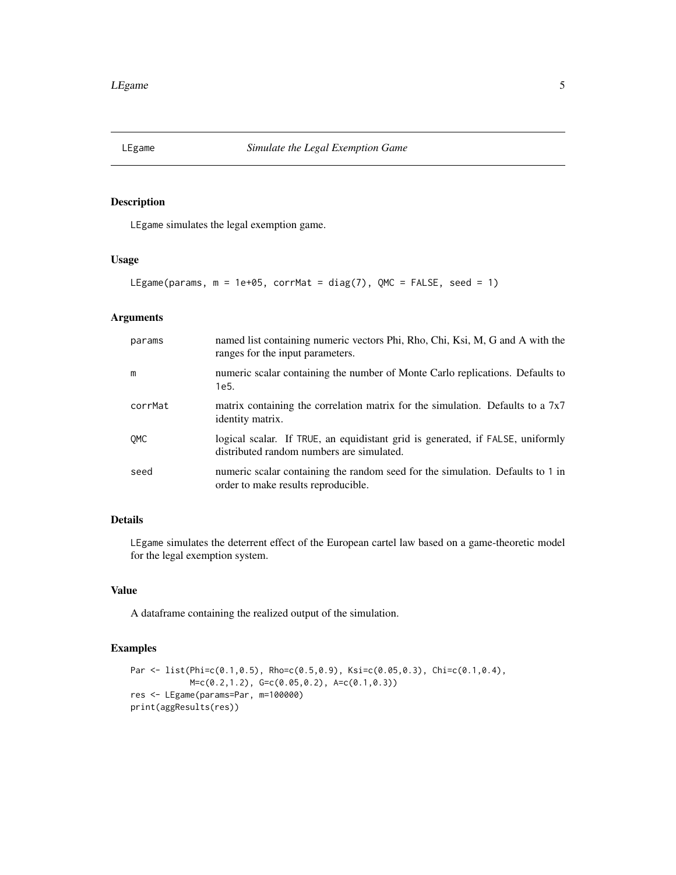<span id="page-4-0"></span>

# Description

LEgame simulates the legal exemption game.

#### Usage

```
LEgame(params, m = 1e+05, corrMat = diag(7), QMC = FALSE, seed = 1)
```
# Arguments

| params     | named list containing numeric vectors Phi, Rho, Chi, Ksi, M, G and A with the<br>ranges for the input parameters.           |
|------------|-----------------------------------------------------------------------------------------------------------------------------|
| m          | numeric scalar containing the number of Monte Carlo replications. Defaults to<br>1e5.                                       |
| corrMat    | matrix containing the correlation matrix for the simulation. Defaults to a $7x7$<br>identity matrix.                        |
| <b>OMC</b> | logical scalar. If TRUE, an equidistant grid is generated, if FALSE, uniformly<br>distributed random numbers are simulated. |
| seed       | numeric scalar containing the random seed for the simulation. Defaults to 1 in<br>order to make results reproducible.       |

# Details

LEgame simulates the deterrent effect of the European cartel law based on a game-theoretic model for the legal exemption system.

# Value

A dataframe containing the realized output of the simulation.

```
Par <- list(Phi=c(0.1,0.5), Rho=c(0.5,0.9), Ksi=c(0.05,0.3), Chi=c(0.1,0.4),
           M=c(0.2,1.2), G=c(0.05,0.2), A=c(0.1,0.3))
res <- LEgame(params=Par, m=100000)
print(aggResults(res))
```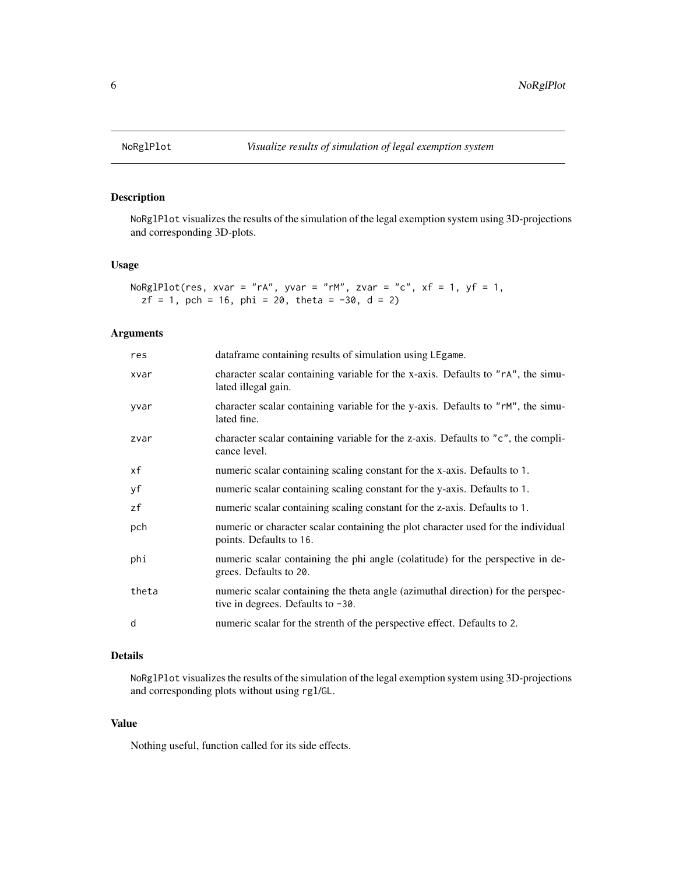<span id="page-5-0"></span>

# Description

NoRglPlot visualizes the results of the simulation of the legal exemption system using 3D-projections and corresponding 3D-plots.

#### Usage

NoRglPlot(res, xvar = "rA", yvar = "rM", zvar = "c",  $xf = 1$ ,  $yf = 1$ ,  $zf = 1, pch = 16, phi = 20, theta = -30, d = 2)$ 

#### Arguments

| res   | dataframe containing results of simulation using LEgame.                                                                 |
|-------|--------------------------------------------------------------------------------------------------------------------------|
| xvar  | character scalar containing variable for the x-axis. Defaults to "rA", the simu-<br>lated illegal gain.                  |
| yvar  | character scalar containing variable for the y-axis. Defaults to "rM", the simu-<br>lated fine.                          |
| zvar  | character scalar containing variable for the z-axis. Defaults to "c", the compli-<br>cance level.                        |
| хf    | numeric scalar containing scaling constant for the x-axis. Defaults to 1.                                                |
| yf    | numeric scalar containing scaling constant for the y-axis. Defaults to 1.                                                |
| zf    | numeric scalar containing scaling constant for the z-axis. Defaults to 1.                                                |
| pch   | numeric or character scalar containing the plot character used for the individual<br>points. Defaults to 16.             |
| phi   | numeric scalar containing the phi angle (colatitude) for the perspective in de-<br>grees. Defaults to 20.                |
| theta | numeric scalar containing the theta angle (azimuthal direction) for the perspec-<br>tive in degrees. Defaults to $-30$ . |
| d     | numeric scalar for the strenth of the perspective effect. Defaults to 2.                                                 |

# Details

NoRglPlot visualizes the results of the simulation of the legal exemption system using 3D-projections and corresponding plots without using rgl/GL.

# Value

Nothing useful, function called for its side effects.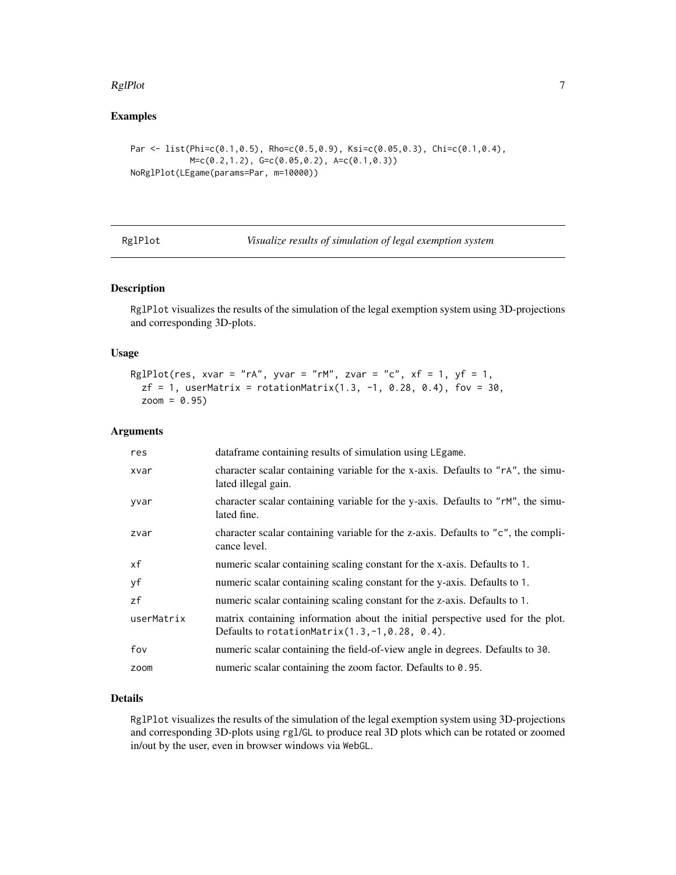#### <span id="page-6-0"></span> $RglPlot$   $7$

# Examples

```
Par <- list(Phi=c(0.1,0.5), Rho=c(0.5,0.9), Ksi=c(0.05,0.3), Chi=c(0.1,0.4),
            M=c(0.2,1.2), G=c(0.05,0.2), A=c(0.1,0.3))
NoRglPlot(LEgame(params=Par, m=10000))
```

| RglPlot |  |
|---------|--|
|---------|--|

Visualize results of simulation of legal exemption system

# Description

RglPlot visualizes the results of the simulation of the legal exemption system using 3D-projections and corresponding 3D-plots.

# Usage

```
RglPlot(res, xvar = "rA", yvar = "rM", zvar = "c", xf = 1, yf = 1,
 zf = 1, userMatrix = rotationMatrix(1.3, -1, 0.28, 0.4), fov = 30,
 zoom = 0.95)
```
# Arguments

| res        | dataframe containing results of simulation using LEgame.                                                                               |
|------------|----------------------------------------------------------------------------------------------------------------------------------------|
| xvar       | character scalar containing variable for the x-axis. Defaults to "rA", the simu-<br>lated illegal gain.                                |
| yvar       | character scalar containing variable for the y-axis. Defaults to "rM", the simu-<br>lated fine.                                        |
| zvar       | character scalar containing variable for the z-axis. Defaults to "c", the compli-<br>cance level.                                      |
| xf         | numeric scalar containing scaling constant for the x-axis. Defaults to 1.                                                              |
| уf         | numeric scalar containing scaling constant for the y-axis. Defaults to 1.                                                              |
| zf         | numeric scalar containing scaling constant for the z-axis. Defaults to 1.                                                              |
| userMatrix | matrix containing information about the initial perspective used for the plot.<br>Defaults to rotation Matrix $(1.3, -1, 0.28, 0.4)$ . |
| fov        | numeric scalar containing the field-of-view angle in degrees. Defaults to 30.                                                          |
| zoom       | numeric scalar containing the zoom factor. Defaults to 0.95.                                                                           |

# Details

RglPlot visualizes the results of the simulation of the legal exemption system using 3D-projections and corresponding 3D-plots using rgl/GL to produce real 3D plots which can be rotated or zoomed in/out by the user, even in browser windows via WebGL.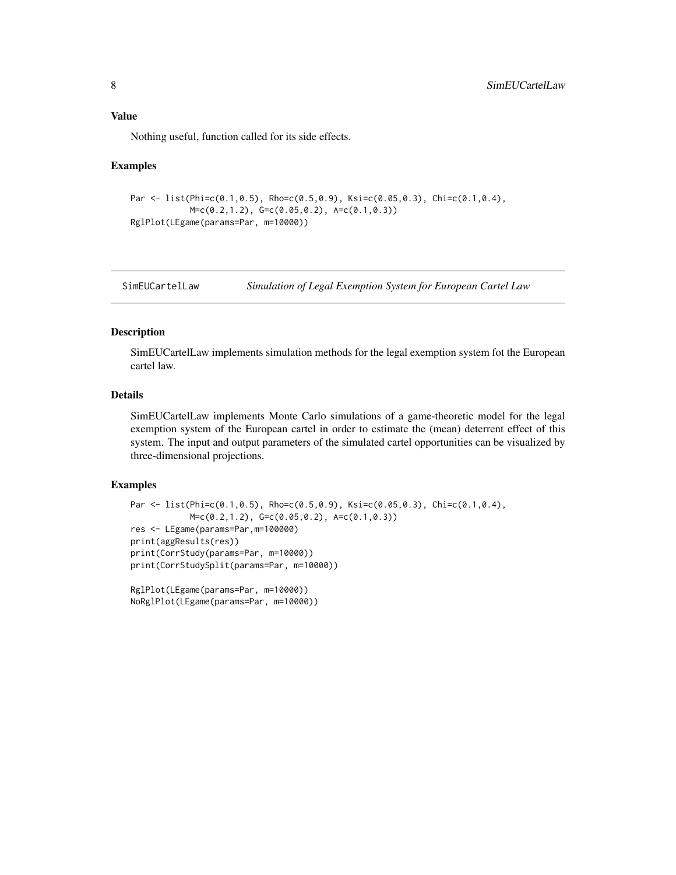<span id="page-7-0"></span>Nothing useful, function called for its side effects.

#### Examples

```
Par \leq list(Phi=c(0.1,0.5), Rho=c(0.5,0.9), Ksi=c(0.05,0.3), Chi=c(0.1,0.4),
            M = c(0.2, 1.2), G = c(0.05, 0.2), A = c(0.1, 0.3))RglPlot(LEgame(params=Par, m=10000))
```
SimEUCartelLaw *Simulation of Legal Exemption System for European Cartel Law*

#### Description

SimEUCartelLaw implements simulation methods for the legal exemption system fot the European cartel law.

# Details

SimEUCartelLaw implements Monte Carlo simulations of a game-theoretic model for the legal exemption system of the European cartel in order to estimate the (mean) deterrent effect of this system. The input and output parameters of the simulated cartel opportunities can be visualized by three-dimensional projections.

```
Par <- list(Phi=c(0.1,0.5), Rho=c(0.5,0.9), Ksi=c(0.05,0.3), Chi=c(0.1,0.4),
            M=c(0.2,1.2), G=c(0.05,0.2), A=c(0.1,0.3))
res <- LEgame(params=Par,m=100000)
print(aggResults(res))
print(CorrStudy(params=Par, m=10000))
print(CorrStudySplit(params=Par, m=10000))
RglPlot(LEgame(params=Par, m=10000))
NoRglPlot(LEgame(params=Par, m=10000))
```